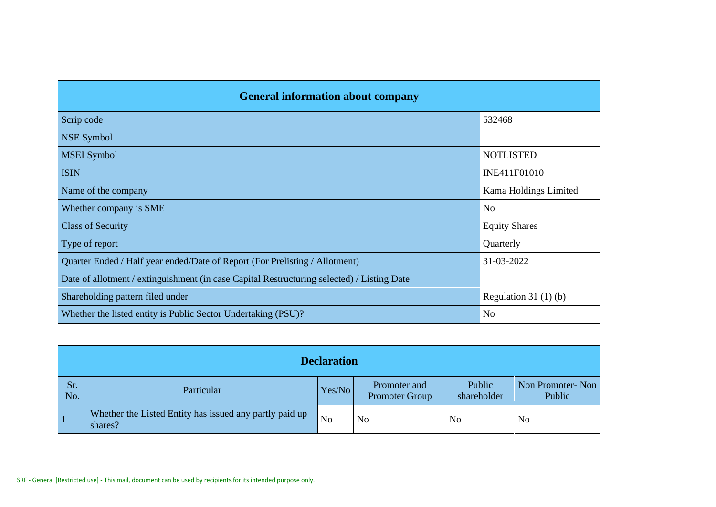| <b>General information about company</b>                                                   |                       |  |  |  |  |  |  |
|--------------------------------------------------------------------------------------------|-----------------------|--|--|--|--|--|--|
| Scrip code                                                                                 | 532468                |  |  |  |  |  |  |
| <b>NSE Symbol</b>                                                                          |                       |  |  |  |  |  |  |
| <b>MSEI</b> Symbol                                                                         | <b>NOTLISTED</b>      |  |  |  |  |  |  |
| <b>ISIN</b>                                                                                | INE411F01010          |  |  |  |  |  |  |
| Name of the company                                                                        | Kama Holdings Limited |  |  |  |  |  |  |
| Whether company is SME                                                                     | N <sub>o</sub>        |  |  |  |  |  |  |
| <b>Class of Security</b>                                                                   | <b>Equity Shares</b>  |  |  |  |  |  |  |
| Type of report                                                                             | Quarterly             |  |  |  |  |  |  |
| Quarter Ended / Half year ended/Date of Report (For Prelisting / Allotment)                | 31-03-2022            |  |  |  |  |  |  |
| Date of allotment / extinguishment (in case Capital Restructuring selected) / Listing Date |                       |  |  |  |  |  |  |
| Shareholding pattern filed under                                                           | Regulation $31(1)(b)$ |  |  |  |  |  |  |
| Whether the listed entity is Public Sector Undertaking (PSU)?                              | N <sub>o</sub>        |  |  |  |  |  |  |

|            | <b>Declaration</b>                                                 |                |                                       |                       |                            |  |  |  |  |  |  |  |
|------------|--------------------------------------------------------------------|----------------|---------------------------------------|-----------------------|----------------------------|--|--|--|--|--|--|--|
| Sr.<br>No. | Particular                                                         | Yes/No         | Promoter and<br><b>Promoter Group</b> | Public<br>shareholder | Non Promoter-Non<br>Public |  |  |  |  |  |  |  |
|            | Whether the Listed Entity has issued any partly paid up<br>shares? | N <sub>o</sub> | N <sub>o</sub>                        | N <sub>o</sub>        | N <sub>o</sub>             |  |  |  |  |  |  |  |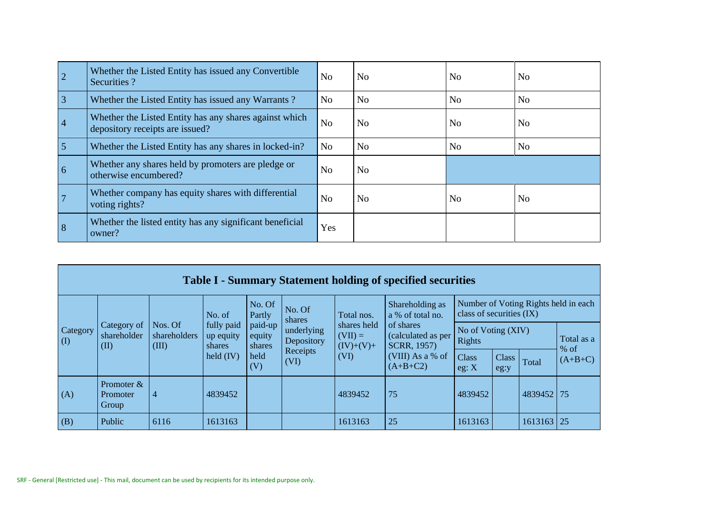| $\overline{2}$  | Whether the Listed Entity has issued any Convertible<br>Securities?                       | N <sub>o</sub> | N <sub>0</sub> | N <sub>0</sub> | N <sub>0</sub> |
|-----------------|-------------------------------------------------------------------------------------------|----------------|----------------|----------------|----------------|
| $\vert 3 \vert$ | Whether the Listed Entity has issued any Warrants?                                        | N <sub>o</sub> | N <sub>o</sub> | N <sub>o</sub> | N <sub>o</sub> |
| $\overline{4}$  | Whether the Listed Entity has any shares against which<br>depository receipts are issued? | N <sub>o</sub> | N <sub>o</sub> | N <sub>o</sub> | N <sub>0</sub> |
| 5               | Whether the Listed Entity has any shares in locked-in?                                    | N <sub>o</sub> | N <sub>o</sub> | N <sub>o</sub> | N <sub>o</sub> |
| $\overline{6}$  | Whether any shares held by promoters are pledge or<br>otherwise encumbered?               | N <sub>o</sub> | N <sub>o</sub> |                |                |
|                 | Whether company has equity shares with differential<br>voting rights?                     | N <sub>o</sub> | N <sub>o</sub> | N <sub>o</sub> | N <sub>o</sub> |
| 8               | Whether the listed entity has any significant beneficial<br>owner?                        | Yes            |                |                |                |

|                                        | <b>Table I - Summary Statement holding of specified securities</b> |                                  |                                                  |                             |                                              |                                                 |                                                |                              |               |            |                                      |  |  |  |  |
|----------------------------------------|--------------------------------------------------------------------|----------------------------------|--------------------------------------------------|-----------------------------|----------------------------------------------|-------------------------------------------------|------------------------------------------------|------------------------------|---------------|------------|--------------------------------------|--|--|--|--|
| Category<br>$\left( \mathrm{I}\right)$ |                                                                    |                                  | No. of                                           | No. Of<br>Partly            | No. Of<br>I shares                           | Total nos.                                      | Shareholding as<br>a % of total no.            | class of securities (IX)     |               |            | Number of Voting Rights held in each |  |  |  |  |
|                                        | Category of<br>shareholder<br>(II)                                 | Nos. Of<br>shareholders<br>(III) | fully paid<br>up equity<br>shares<br>held $(IV)$ | paid-up<br>equity<br>shares | underlying<br>Depository<br>Receipts<br>(VI) | shares held<br>$(VII) =$<br>$(IV)+(V)+$<br>(VI) | of shares<br>(calculated as per<br>SCRR, 1957) | No of Voting (XIV)<br>Rights |               |            | Total as a<br>$%$ of                 |  |  |  |  |
|                                        |                                                                    |                                  |                                                  | held<br>(V)                 |                                              |                                                 | (VIII) As a % of<br>$(A+B+C2)$                 | Class<br>eg: X               | Class<br>eg:y | Total      | $(A+B+C)$                            |  |  |  |  |
| (A)                                    | Promoter $&$<br>Promoter<br>Group                                  | $\overline{4}$                   | 4839452                                          |                             |                                              | 4839452                                         | 75                                             | 4839452                      |               | 4839452 75 |                                      |  |  |  |  |
| (B)                                    | Public                                                             | 6116                             | 1613163                                          |                             |                                              | 1613163                                         | 25                                             | 1613163                      |               | 1613163 25 |                                      |  |  |  |  |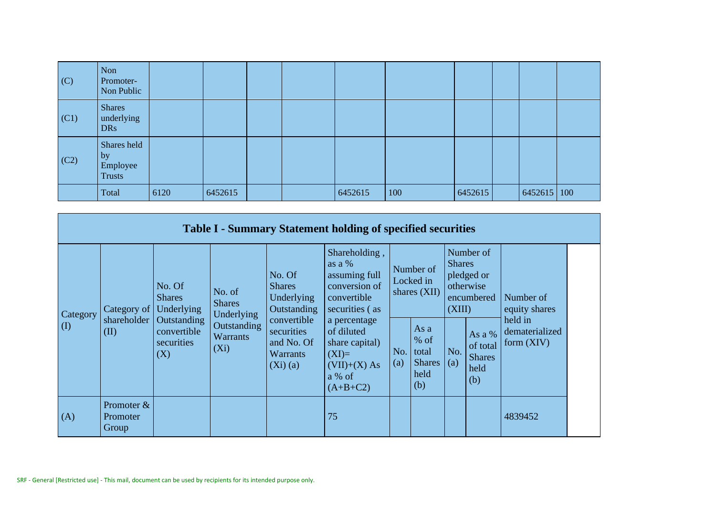| (C)  | Non<br>Promoter-<br>Non Public                 |      |         |  |         |     |         |                    |  |
|------|------------------------------------------------|------|---------|--|---------|-----|---------|--------------------|--|
| (C1) | <b>Shares</b><br>underlying<br><b>DRs</b>      |      |         |  |         |     |         |                    |  |
| (C2) | Shares held<br>by<br>Employee<br><b>Trusts</b> |      |         |  |         |     |         |                    |  |
|      | Total                                          | 6120 | 6452615 |  | 6452615 | 100 | 6452615 | $6452615 \mid 100$ |  |

|                 |                                          |                                                     |                                                          |                                                                       | <b>Table I - Summary Statement holding of specified securities</b>                                |                                          |                                                         |                         |                                                    |                                           |
|-----------------|------------------------------------------|-----------------------------------------------------|----------------------------------------------------------|-----------------------------------------------------------------------|---------------------------------------------------------------------------------------------------|------------------------------------------|---------------------------------------------------------|-------------------------|----------------------------------------------------|-------------------------------------------|
|                 | (II)                                     | No. Of<br><b>Shares</b><br>Category of   Underlying | No. of<br><b>Shares</b><br>Underlying                    | No. Of<br><b>Shares</b><br>Underlying<br>Outstanding                  | Shareholding,<br>as a %<br>assuming full<br>conversion of<br>convertible<br>securities (as        | Number of<br>Locked in<br>shares $(XII)$ |                                                         | <b>Shares</b><br>(XIII) | Number of<br>pledged or<br>otherwise<br>encumbered | Number of<br>equity shares                |
| Category<br>(I) |                                          | shareholder   Outstanding<br>securities<br>(X)      | <b>Outstanding</b><br>convertible<br>Warrants<br>$(X_i)$ | convertible<br>securities<br>and No. Of<br><b>Warrants</b><br>(Xi)(a) | a percentage<br>of diluted<br>share capital)<br>$(XI)=$<br>$(VII)+(X) As$<br>a % of<br>$(A+B+C2)$ | No.<br>(a)                               | As a<br>$%$ of<br>total<br><b>Shares</b><br>held<br>(b) | No.<br>(a)              | As a %<br>of total<br><b>Shares</b><br>held<br>(b) | held in<br>dematerialized<br>form $(XIV)$ |
| (A)             | Promoter $&$<br><b>Promoter</b><br>Group |                                                     |                                                          |                                                                       | 75                                                                                                |                                          |                                                         |                         |                                                    | 4839452                                   |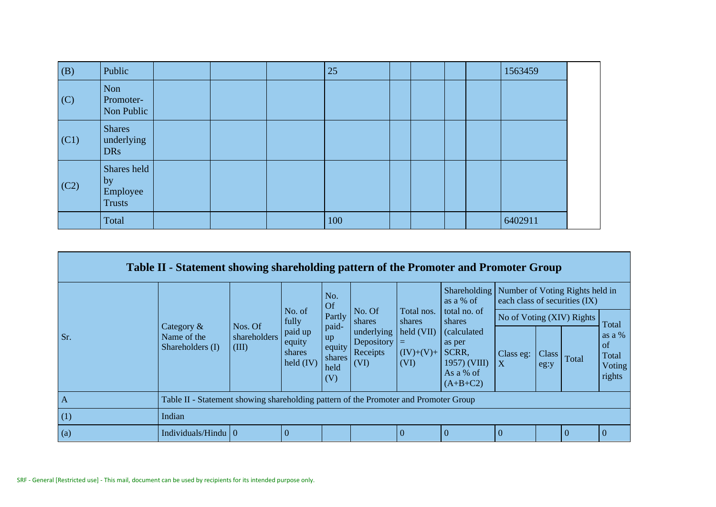| (B)  | Public                                         |  | 25  |  |  | 1563459 |  |
|------|------------------------------------------------|--|-----|--|--|---------|--|
| (C)  | Non<br>Promoter-<br>Non Public                 |  |     |  |  |         |  |
| (C1) | <b>Shares</b><br>underlying<br><b>DRs</b>      |  |     |  |  |         |  |
| (C2) | Shares held<br>by<br>Employee<br><b>Trusts</b> |  |     |  |  |         |  |
|      | Total                                          |  | 100 |  |  | 6402911 |  |

|                   | Table II - Statement showing shareholding pattern of the Promoter and Promoter Group |                                  |                                                               |                                                          |                                                                  |                                                                         |                                                                                                               |                           |               |                               |                                                   |
|-------------------|--------------------------------------------------------------------------------------|----------------------------------|---------------------------------------------------------------|----------------------------------------------------------|------------------------------------------------------------------|-------------------------------------------------------------------------|---------------------------------------------------------------------------------------------------------------|---------------------------|---------------|-------------------------------|---------------------------------------------------|
| Sr.               |                                                                                      |                                  |                                                               | No.<br>Of                                                |                                                                  |                                                                         | Shareholding   Number of Voting Rights held in<br>as a % of                                                   |                           |               | each class of securities (IX) |                                                   |
|                   | Category &<br>Name of the<br>Shareholders (I)                                        |                                  | No. of<br>fully<br>paid up<br>equity<br>shares<br>held $(IV)$ | Partly<br>paid-<br>up<br>equity<br>shares<br>held<br>(V) | No. Of<br>shares<br>underlying<br>Depository<br>Receipts<br>(VI) | Total nos.<br>shares<br>$\text{held (VII)}$<br>=<br>$(IV)+(V)+$<br>(VI) | total no. of<br>shares<br><i>(calculated)</i><br>as per<br>SCRR,<br>$1957)$ (VIII)<br>As a % of<br>$(A+B+C2)$ | No of Voting (XIV) Rights |               |                               | Total                                             |
|                   |                                                                                      | Nos. Of<br>shareholders<br>(III) |                                                               |                                                          |                                                                  |                                                                         |                                                                                                               | Class eg:<br>X            | Class<br>eg:y | Total                         | as a $%$<br>$\alpha$<br>Total<br>Voting<br>rights |
| A                 | Table II - Statement showing shareholding pattern of the Promoter and Promoter Group |                                  |                                                               |                                                          |                                                                  |                                                                         |                                                                                                               |                           |               |                               |                                                   |
| (1)               | Indian                                                                               |                                  |                                                               |                                                          |                                                                  |                                                                         |                                                                                                               |                           |               |                               |                                                   |
| $\left( a\right)$ | Individuals/Hindu $\vert 0 \vert$                                                    |                                  | $\overline{0}$                                                |                                                          |                                                                  | $\theta$                                                                | $\Omega$                                                                                                      | $\Omega$                  |               | $\Omega$                      |                                                   |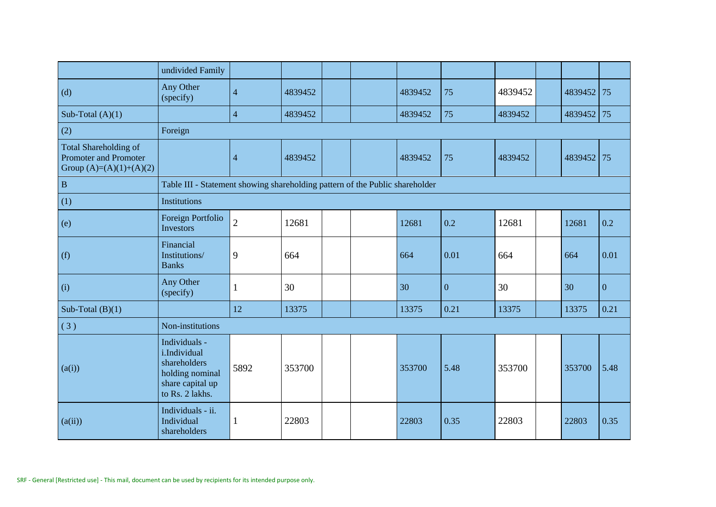|                                                                                    | undivided Family                                                                                        |                |         |  |         |              |         |         |              |
|------------------------------------------------------------------------------------|---------------------------------------------------------------------------------------------------------|----------------|---------|--|---------|--------------|---------|---------|--------------|
| (d)                                                                                | Any Other<br>(specify)                                                                                  | $\overline{4}$ | 4839452 |  | 4839452 | 75           | 4839452 | 4839452 | 75           |
| Sub-Total $(A)(1)$                                                                 |                                                                                                         | $\overline{4}$ | 4839452 |  | 4839452 | 75           | 4839452 | 4839452 | 75           |
| (2)                                                                                | Foreign                                                                                                 |                |         |  |         |              |         |         |              |
| Total Shareholding of<br><b>Promoter and Promoter</b><br>Group $(A)=(A)(1)+(A)(2)$ |                                                                                                         | $\overline{4}$ | 4839452 |  | 4839452 | 75           | 4839452 | 4839452 | 75           |
| $\, {\bf B}$                                                                       | Table III - Statement showing shareholding pattern of the Public shareholder                            |                |         |  |         |              |         |         |              |
| (1)                                                                                | Institutions                                                                                            |                |         |  |         |              |         |         |              |
| (e)                                                                                | Foreign Portfolio<br>Investors                                                                          | $\overline{2}$ | 12681   |  | 12681   | 0.2          | 12681   | 12681   | 0.2          |
| (f)                                                                                | Financial<br>Institutions/<br><b>Banks</b>                                                              | 9              | 664     |  | 664     | 0.01         | 664     | 664     | 0.01         |
| (i)                                                                                | Any Other<br>(specify)                                                                                  | 1              | 30      |  | 30      | $\mathbf{0}$ | 30      | 30      | $\mathbf{0}$ |
| Sub-Total $(B)(1)$                                                                 |                                                                                                         | 12             | 13375   |  | 13375   | 0.21         | 13375   | 13375   | 0.21         |
| (3)                                                                                | Non-institutions                                                                                        |                |         |  |         |              |         |         |              |
| (a(i))                                                                             | Individuals -<br>i.Individual<br>shareholders<br>holding nominal<br>share capital up<br>to Rs. 2 lakhs. | 5892           | 353700  |  | 353700  | 5.48         | 353700  | 353700  | 5.48         |
| (a(ii))                                                                            | Individuals - ii.<br>Individual<br>shareholders                                                         | $\mathbf 1$    | 22803   |  | 22803   | 0.35         | 22803   | 22803   | 0.35         |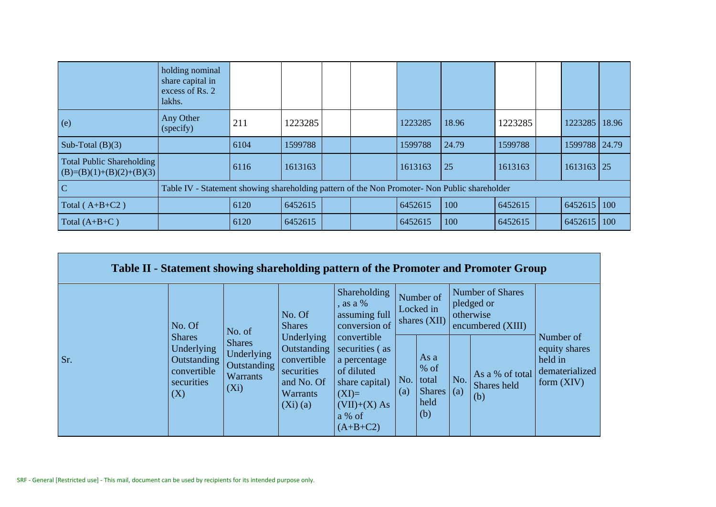|                                                                | holding nominal<br>share capital in<br>excess of Rs. 2<br>lakhs.                              |      |         |  |         |       |         |               |  |
|----------------------------------------------------------------|-----------------------------------------------------------------------------------------------|------|---------|--|---------|-------|---------|---------------|--|
| (e)                                                            | Any Other<br>(specify)                                                                        | 211  | 1223285 |  | 1223285 | 18.96 | 1223285 | 1223285 18.96 |  |
| Sub-Total $(B)(3)$                                             |                                                                                               | 6104 | 1599788 |  | 1599788 | 24.79 | 1599788 | 1599788 24.79 |  |
| <b>Total Public Shareholding</b><br>$(B)=(B)(1)+(B)(2)+(B)(3)$ |                                                                                               | 6116 | 1613163 |  | 1613163 | 25    | 1613163 | $1613163$ 25  |  |
| $\mathcal{C}$                                                  | Table IV - Statement showing shareholding pattern of the Non Promoter- Non Public shareholder |      |         |  |         |       |         |               |  |
| Total $(A+B+C2)$                                               |                                                                                               | 6120 | 6452615 |  | 6452615 | 100   | 6452615 | 6452615 100   |  |
| Total $(A+B+C)$                                                |                                                                                               | 6120 | 6452615 |  | 6452615 | 100   | 6452615 | 6452615 100   |  |

| Table II - Statement showing shareholding pattern of the Promoter and Promoter Group |                                                                         |                                                                          |                                                                                                |                                                                                                                                    |            |                                                        |     |                                                                  |                                                                         |
|--------------------------------------------------------------------------------------|-------------------------------------------------------------------------|--------------------------------------------------------------------------|------------------------------------------------------------------------------------------------|------------------------------------------------------------------------------------------------------------------------------------|------------|--------------------------------------------------------|-----|------------------------------------------------------------------|-------------------------------------------------------------------------|
|                                                                                      | No. Of                                                                  | No. of                                                                   | No. Of<br><b>Shares</b>                                                                        | Shareholding<br>, as a %<br>assuming full<br>conversion of                                                                         |            | Number of<br>Locked in<br>shares $(XII)$               |     | Number of Shares<br>pledged or<br>otherwise<br>encumbered (XIII) |                                                                         |
| Sr.<br>(X)                                                                           | <b>Shares</b><br>Underlying<br>Outstanding<br>convertible<br>securities | <b>Shares</b><br>Underlying<br>Outstanding<br><b>Warrants</b><br>$(X_i)$ | Underlying<br>Outstanding<br>convertible<br>securities<br>and No. Of<br>Warrants<br>$(Xi)$ (a) | convertible<br>securities (as<br>a percentage<br>of diluted<br>share capital)<br>$(XI)=$<br>$(VII)+(X) As$<br>a % of<br>$(A+B+C2)$ | No.<br>(a) | As a<br>$%$ of<br>total<br>Shares $(a)$<br>held<br>(b) | No. | As a % of total<br>Shares held<br>(b)                            | Number of<br>equity shares<br>held in<br>dematerialized<br>form $(XIV)$ |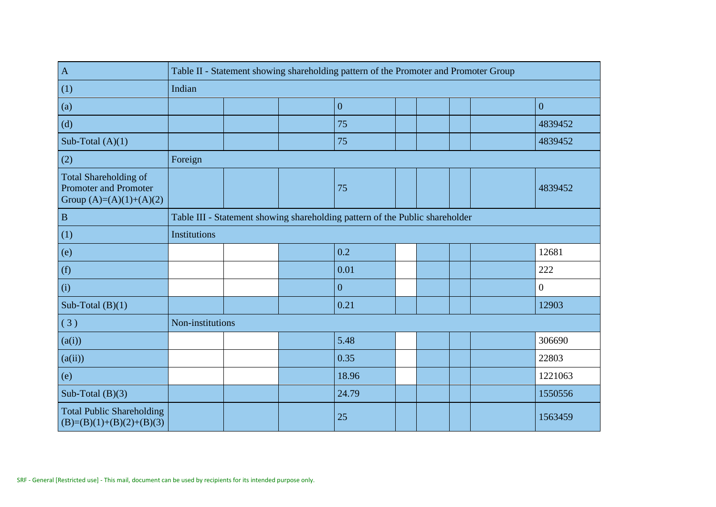| $\mathbf{A}$                                                                       | Table II - Statement showing shareholding pattern of the Promoter and Promoter Group |  |  |                                                                              |  |  |  |  |                  |
|------------------------------------------------------------------------------------|--------------------------------------------------------------------------------------|--|--|------------------------------------------------------------------------------|--|--|--|--|------------------|
| (1)                                                                                | Indian                                                                               |  |  |                                                                              |  |  |  |  |                  |
| (a)                                                                                |                                                                                      |  |  | $\overline{0}$                                                               |  |  |  |  | $\overline{0}$   |
| (d)                                                                                |                                                                                      |  |  | 75                                                                           |  |  |  |  | 4839452          |
| Sub-Total $(A)(1)$                                                                 |                                                                                      |  |  | 75                                                                           |  |  |  |  | 4839452          |
| (2)                                                                                | Foreign                                                                              |  |  |                                                                              |  |  |  |  |                  |
| Total Shareholding of<br><b>Promoter and Promoter</b><br>Group $(A)=(A)(1)+(A)(2)$ |                                                                                      |  |  | 75                                                                           |  |  |  |  | 4839452          |
| $\, {\bf B}$                                                                       |                                                                                      |  |  | Table III - Statement showing shareholding pattern of the Public shareholder |  |  |  |  |                  |
| (1)                                                                                | <b>Institutions</b>                                                                  |  |  |                                                                              |  |  |  |  |                  |
| (e)                                                                                |                                                                                      |  |  | 0.2                                                                          |  |  |  |  | 12681            |
| (f)                                                                                |                                                                                      |  |  | 0.01                                                                         |  |  |  |  | 222              |
| (i)                                                                                |                                                                                      |  |  | $\mathbf{0}$                                                                 |  |  |  |  | $\boldsymbol{0}$ |
| Sub-Total $(B)(1)$                                                                 |                                                                                      |  |  | 0.21                                                                         |  |  |  |  | 12903            |
| (3)                                                                                | Non-institutions                                                                     |  |  |                                                                              |  |  |  |  |                  |
| (a(i))                                                                             |                                                                                      |  |  | 5.48                                                                         |  |  |  |  | 306690           |
| (a(ii))                                                                            |                                                                                      |  |  | 0.35                                                                         |  |  |  |  | 22803            |
| (e)                                                                                |                                                                                      |  |  | 18.96                                                                        |  |  |  |  | 1221063          |
| Sub-Total $(B)(3)$                                                                 |                                                                                      |  |  | 24.79                                                                        |  |  |  |  | 1550556          |
| <b>Total Public Shareholding</b><br>$(B)=(B)(1)+(B)(2)+(B)(3)$                     |                                                                                      |  |  | 25                                                                           |  |  |  |  | 1563459          |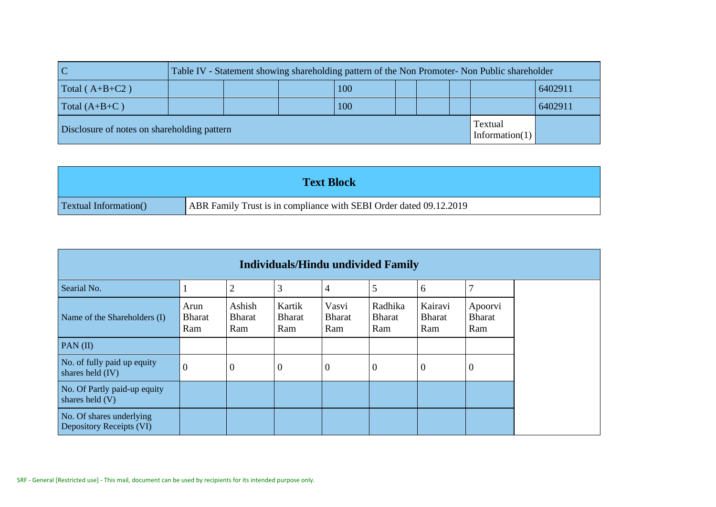|                                             |  |     |  | Table IV - Statement showing shareholding pattern of the Non Promoter- Non Public shareholder |         |
|---------------------------------------------|--|-----|--|-----------------------------------------------------------------------------------------------|---------|
| Total $(A+B+C2)$                            |  | 100 |  |                                                                                               | 6402911 |
| Total $(A+B+C)$                             |  | 100 |  |                                                                                               | 6402911 |
| Disclosure of notes on shareholding pattern |  |     |  | Textual<br>Information(1)                                                                     |         |

|                               | <b>Text Block</b>                                                  |
|-------------------------------|--------------------------------------------------------------------|
| <b>Textual Information</b> () | ABR Family Trust is in compliance with SEBI Order dated 09.12.2019 |

| <b>Individuals/Hindu undivided Family</b>            |                              |                                |                                |                               |                                 |                                 |                                 |
|------------------------------------------------------|------------------------------|--------------------------------|--------------------------------|-------------------------------|---------------------------------|---------------------------------|---------------------------------|
| Searial No.                                          |                              | $\overline{2}$                 | 3                              | 4                             | 5                               | 6                               |                                 |
| Name of the Shareholders (I)                         | Arun<br><b>Bharat</b><br>Ram | Ashish<br><b>Bharat</b><br>Ram | Kartik<br><b>Bharat</b><br>Ram | Vasvi<br><b>Bharat</b><br>Ram | Radhika<br><b>Bharat</b><br>Ram | Kairavi<br><b>Bharat</b><br>Ram | Apoorvi<br><b>Bharat</b><br>Ram |
| PAN $(II)$                                           |                              |                                |                                |                               |                                 |                                 |                                 |
| No. of fully paid up equity<br>shares held (IV)      | $\boldsymbol{0}$             | $\theta$                       | $\boldsymbol{0}$               | $\theta$                      | $\overline{0}$                  | $\boldsymbol{0}$                | $\overline{0}$                  |
| No. Of Partly paid-up equity<br>shares held $(V)$    |                              |                                |                                |                               |                                 |                                 |                                 |
| No. Of shares underlying<br>Depository Receipts (VI) |                              |                                |                                |                               |                                 |                                 |                                 |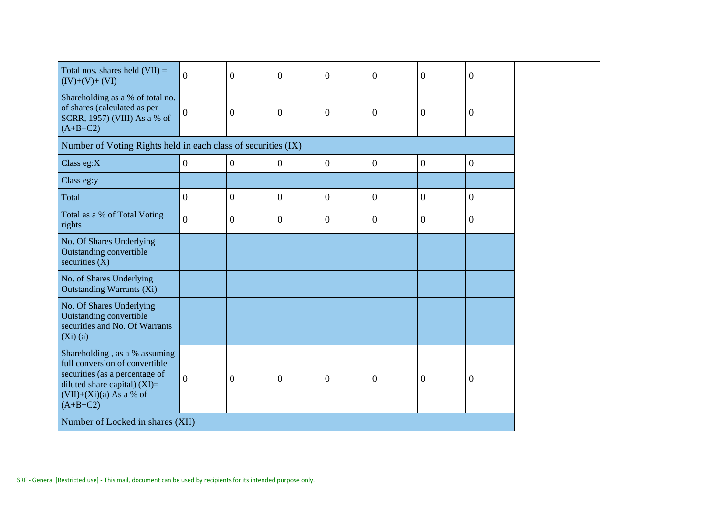| Total nos. shares held $(VII)$ =<br>$(IV)+(V)+(VI)$                                                                                                                             | $\overline{0}$ | $\overline{0}$   | $\overline{0}$   | $\boldsymbol{0}$ | $\boldsymbol{0}$ | $\boldsymbol{0}$ | $\overline{0}$   |
|---------------------------------------------------------------------------------------------------------------------------------------------------------------------------------|----------------|------------------|------------------|------------------|------------------|------------------|------------------|
| Shareholding as a % of total no.<br>of shares (calculated as per<br>SCRR, 1957) (VIII) As a % of<br>$(A+B+C2)$                                                                  | $\overline{0}$ | $\overline{0}$   | $\mathbf{0}$     | $\boldsymbol{0}$ | $\mathbf{0}$     | $\overline{0}$   | $\overline{0}$   |
| Number of Voting Rights held in each class of securities (IX)                                                                                                                   |                |                  |                  |                  |                  |                  |                  |
| Class eg:X                                                                                                                                                                      | $\overline{0}$ | $\overline{0}$   | $\overline{0}$   | $\overline{0}$   | $\mathbf{0}$     | $\boldsymbol{0}$ | $\boldsymbol{0}$ |
| Class eg:y                                                                                                                                                                      |                |                  |                  |                  |                  |                  |                  |
| Total                                                                                                                                                                           | $\overline{0}$ | $\boldsymbol{0}$ | $\boldsymbol{0}$ | $\overline{0}$   | $\mathbf{0}$     | $\mathbf{0}$     | $\boldsymbol{0}$ |
| Total as a % of Total Voting<br>rights                                                                                                                                          | $\overline{0}$ | $\boldsymbol{0}$ | $\mathbf{0}$     | $\overline{0}$   | $\mathbf{0}$     | $\boldsymbol{0}$ | $\overline{0}$   |
| No. Of Shares Underlying<br>Outstanding convertible<br>securities $(X)$                                                                                                         |                |                  |                  |                  |                  |                  |                  |
| No. of Shares Underlying<br><b>Outstanding Warrants (Xi)</b>                                                                                                                    |                |                  |                  |                  |                  |                  |                  |
| No. Of Shares Underlying<br>Outstanding convertible<br>securities and No. Of Warrants<br>$(Xi)$ $(a)$                                                                           |                |                  |                  |                  |                  |                  |                  |
| Shareholding, as a % assuming<br>full conversion of convertible<br>securities (as a percentage of<br>diluted share capital) $(XI)$ =<br>$(VII)+(Xi)(a)$ As a % of<br>$(A+B+C2)$ | $\overline{0}$ | $\boldsymbol{0}$ | $\mathbf{0}$     | $\mathbf{0}$     | $\boldsymbol{0}$ | $\boldsymbol{0}$ | $\overline{0}$   |
| Number of Locked in shares (XII)                                                                                                                                                |                |                  |                  |                  |                  |                  |                  |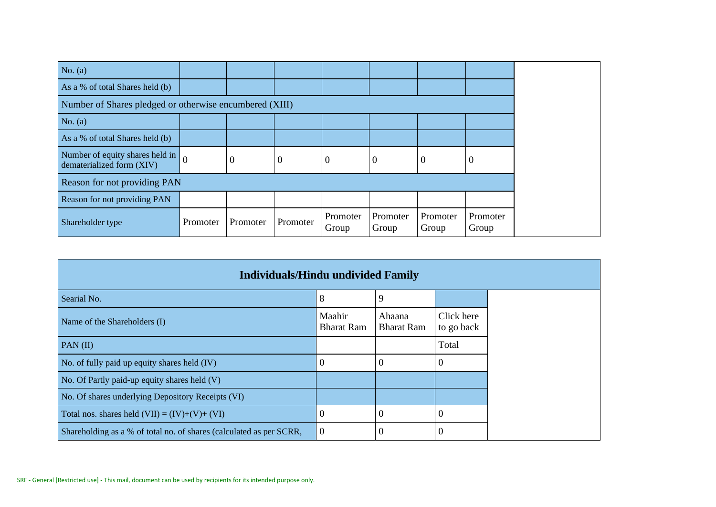| No. $(a)$                                                    |          |                |                  |                   |                   |                   |                   |  |
|--------------------------------------------------------------|----------|----------------|------------------|-------------------|-------------------|-------------------|-------------------|--|
| As a % of total Shares held (b)                              |          |                |                  |                   |                   |                   |                   |  |
| Number of Shares pledged or otherwise encumbered (XIII)      |          |                |                  |                   |                   |                   |                   |  |
| No. $(a)$                                                    |          |                |                  |                   |                   |                   |                   |  |
| As a % of total Shares held (b)                              |          |                |                  |                   |                   |                   |                   |  |
| Number of equity shares held in<br>dematerialized form (XIV) | $\theta$ | $\overline{0}$ | $\boldsymbol{0}$ | $\theta$          | $\overline{0}$    | $\boldsymbol{0}$  | 0                 |  |
| Reason for not providing PAN                                 |          |                |                  |                   |                   |                   |                   |  |
| Reason for not providing PAN                                 |          |                |                  |                   |                   |                   |                   |  |
| Shareholder type                                             | Promoter | Promoter       | Promoter         | Promoter<br>Group | Promoter<br>Group | Promoter<br>Group | Promoter<br>Group |  |

| <b>Individuals/Hindu undivided Family</b>                           |                             |                             |                          |
|---------------------------------------------------------------------|-----------------------------|-----------------------------|--------------------------|
| Searial No.                                                         | 8                           | 9                           |                          |
| Name of the Shareholders (I)                                        | Maahir<br><b>Bharat Ram</b> | Ahaana<br><b>Bharat Ram</b> | Click here<br>to go back |
| PAN $(II)$                                                          |                             |                             | Total                    |
| No. of fully paid up equity shares held (IV)                        | $\theta$                    |                             | $\Omega$                 |
| No. Of Partly paid-up equity shares held (V)                        |                             |                             |                          |
| No. Of shares underlying Depository Receipts (VI)                   |                             |                             |                          |
| Total nos. shares held $(VII) = (IV)+(V)+(VI)$                      | $\overline{0}$              | $\theta$                    | $\theta$                 |
| Shareholding as a % of total no. of shares (calculated as per SCRR, | $\overline{0}$              | 0                           | $\overline{0}$           |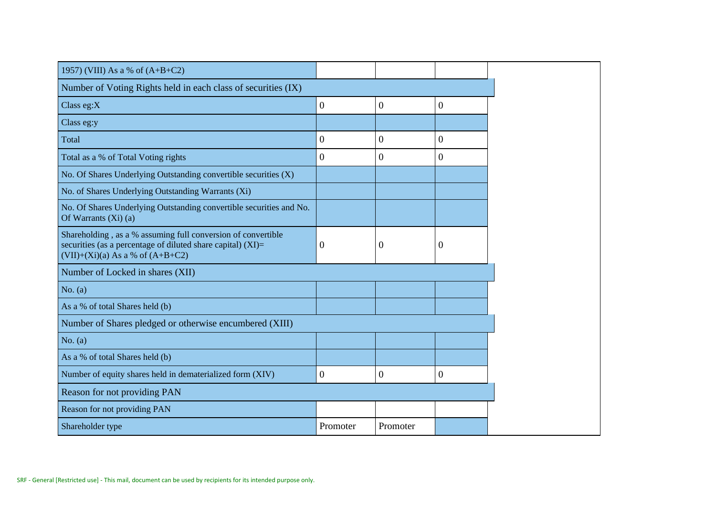| 1957) (VIII) As a % of $(A+B+C2)$                                                                                                                                      |                  |                  |                  |
|------------------------------------------------------------------------------------------------------------------------------------------------------------------------|------------------|------------------|------------------|
| Number of Voting Rights held in each class of securities (IX)                                                                                                          |                  |                  |                  |
| Class eg: $X$                                                                                                                                                          | $\boldsymbol{0}$ | $\boldsymbol{0}$ | $\boldsymbol{0}$ |
| Class eg:y                                                                                                                                                             |                  |                  |                  |
| Total                                                                                                                                                                  | $\overline{0}$   | $\boldsymbol{0}$ | $\boldsymbol{0}$ |
| Total as a % of Total Voting rights                                                                                                                                    | $\overline{0}$   | $\boldsymbol{0}$ | $\boldsymbol{0}$ |
| No. Of Shares Underlying Outstanding convertible securities (X)                                                                                                        |                  |                  |                  |
| No. of Shares Underlying Outstanding Warrants (Xi)                                                                                                                     |                  |                  |                  |
| No. Of Shares Underlying Outstanding convertible securities and No.<br>Of Warrants $(Xi)$ (a)                                                                          |                  |                  |                  |
| Shareholding, as a % assuming full conversion of convertible<br>securities (as a percentage of diluted share capital) $(XI)$ =<br>$(VII)+(Xi)(a)$ As a % of $(A+B+C2)$ | $\theta$         | $\overline{0}$   | $\theta$         |
| Number of Locked in shares (XII)                                                                                                                                       |                  |                  |                  |
| No. $(a)$                                                                                                                                                              |                  |                  |                  |
| As a % of total Shares held (b)                                                                                                                                        |                  |                  |                  |
| Number of Shares pledged or otherwise encumbered (XIII)                                                                                                                |                  |                  |                  |
| No. $(a)$                                                                                                                                                              |                  |                  |                  |
| As a % of total Shares held (b)                                                                                                                                        |                  |                  |                  |
| Number of equity shares held in dematerialized form (XIV)                                                                                                              | $\overline{0}$   | $\boldsymbol{0}$ | $\overline{0}$   |
| Reason for not providing PAN                                                                                                                                           |                  |                  |                  |
| Reason for not providing PAN                                                                                                                                           |                  |                  |                  |
| Shareholder type                                                                                                                                                       | Promoter         | Promoter         |                  |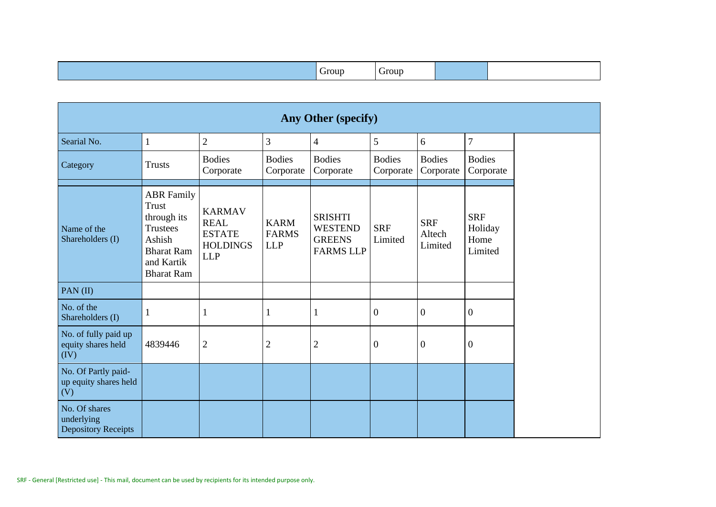|  | rour<br>irour |
|--|---------------|
|--|---------------|

| Any Other (specify)                                       |                                                                                                                                |                                                                                |                                           |                                                                       |                            |                                 |                                          |
|-----------------------------------------------------------|--------------------------------------------------------------------------------------------------------------------------------|--------------------------------------------------------------------------------|-------------------------------------------|-----------------------------------------------------------------------|----------------------------|---------------------------------|------------------------------------------|
| Searial No.                                               | $\mathbf{1}$                                                                                                                   | $\overline{2}$                                                                 | 3                                         | $\overline{4}$                                                        | 5                          | 6                               | $\overline{7}$                           |
| Category                                                  | <b>Trusts</b>                                                                                                                  | <b>Bodies</b><br>Corporate                                                     | <b>Bodies</b><br>Corporate                | <b>Bodies</b><br>Corporate                                            | <b>Bodies</b><br>Corporate | <b>Bodies</b><br>Corporate      | <b>Bodies</b><br>Corporate               |
| Name of the<br>Shareholders (I)                           | <b>ABR</b> Family<br>Trust<br>through its<br><b>Trustees</b><br>Ashish<br><b>Bharat Ram</b><br>and Kartik<br><b>Bharat Ram</b> | <b>KARMAV</b><br><b>REAL</b><br><b>ESTATE</b><br><b>HOLDINGS</b><br><b>LLP</b> | <b>KARM</b><br><b>FARMS</b><br><b>LLP</b> | <b>SRISHTI</b><br><b>WESTEND</b><br><b>GREENS</b><br><b>FARMS LLP</b> | <b>SRF</b><br>Limited      | <b>SRF</b><br>Altech<br>Limited | <b>SRF</b><br>Holiday<br>Home<br>Limited |
| PAN(II)                                                   |                                                                                                                                |                                                                                |                                           |                                                                       |                            |                                 |                                          |
| No. of the<br>Shareholders (I)                            | $\mathbf{1}$                                                                                                                   | 1                                                                              | 1                                         | 1                                                                     | $\mathbf{0}$               | $\mathbf{0}$                    | $\mathbf{0}$                             |
| No. of fully paid up<br>equity shares held<br>(IV)        | 4839446                                                                                                                        | $\overline{2}$                                                                 | $\mathbf{2}$                              | $\overline{2}$                                                        | $\mathbf{0}$               | $\boldsymbol{0}$                | $\mathbf{0}$                             |
| No. Of Partly paid-<br>up equity shares held<br>(V)       |                                                                                                                                |                                                                                |                                           |                                                                       |                            |                                 |                                          |
| No. Of shares<br>underlying<br><b>Depository Receipts</b> |                                                                                                                                |                                                                                |                                           |                                                                       |                            |                                 |                                          |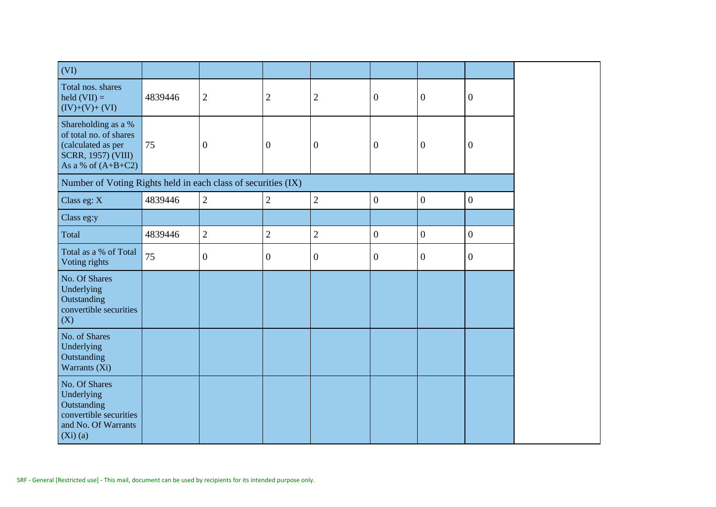| (VI)                                                                                                                     |         |                  |                  |                  |                  |                  |                  |
|--------------------------------------------------------------------------------------------------------------------------|---------|------------------|------------------|------------------|------------------|------------------|------------------|
| Total nos. shares<br>held $(VII) =$<br>$(IV)+(V)+(VI)$                                                                   | 4839446 | $\mathbf{2}$     | $\mathbf{2}$     | $\sqrt{2}$       | $\boldsymbol{0}$ | $\overline{0}$   | $\mathbf{0}$     |
| Shareholding as a %<br>of total no. of shares<br>(calculated as per<br><b>SCRR, 1957) (VIII)</b><br>As a % of $(A+B+C2)$ | 75      | $\boldsymbol{0}$ | $\boldsymbol{0}$ | $\boldsymbol{0}$ | $\boldsymbol{0}$ | $\boldsymbol{0}$ | $\boldsymbol{0}$ |
| Number of Voting Rights held in each class of securities (IX)                                                            |         |                  |                  |                  |                  |                  |                  |
| Class eg: X                                                                                                              | 4839446 | $\sqrt{2}$       | $\overline{2}$   | $\overline{2}$   | $\boldsymbol{0}$ | $\boldsymbol{0}$ | $\boldsymbol{0}$ |
| Class eg:y                                                                                                               |         |                  |                  |                  |                  |                  |                  |
| Total                                                                                                                    | 4839446 | $\sqrt{2}$       | $\overline{2}$   | $\sqrt{2}$       | $\boldsymbol{0}$ | $\boldsymbol{0}$ | $\boldsymbol{0}$ |
| Total as a % of Total<br>Voting rights                                                                                   | 75      | $\overline{0}$   | $\boldsymbol{0}$ | $\overline{0}$   | $\boldsymbol{0}$ | $\mathbf{0}$     | $\boldsymbol{0}$ |
| No. Of Shares<br>Underlying<br>Outstanding<br>convertible securities<br>(X)                                              |         |                  |                  |                  |                  |                  |                  |
| No. of Shares<br>Underlying<br>Outstanding<br>Warrants (Xi)                                                              |         |                  |                  |                  |                  |                  |                  |
| No. Of Shares<br>Underlying<br>Outstanding<br>convertible securities<br>and No. Of Warrants<br>$(Xi)$ (a)                |         |                  |                  |                  |                  |                  |                  |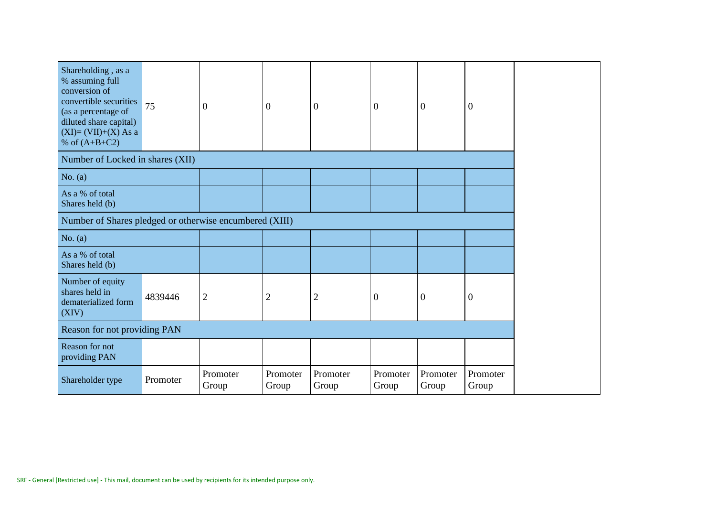| Shareholding, as a<br>% assuming full<br>conversion of<br>convertible securities<br>(as a percentage of<br>diluted share capital)<br>$(XI)=(VII)+(X) As a$<br>% of $(A+B+C2)$ | 75       | $\boldsymbol{0}$  | $\boldsymbol{0}$  | $\overline{0}$    | $\overline{0}$    | $\theta$          | $\Omega$          |  |
|-------------------------------------------------------------------------------------------------------------------------------------------------------------------------------|----------|-------------------|-------------------|-------------------|-------------------|-------------------|-------------------|--|
| Number of Locked in shares (XII)                                                                                                                                              |          |                   |                   |                   |                   |                   |                   |  |
| No. $(a)$                                                                                                                                                                     |          |                   |                   |                   |                   |                   |                   |  |
| As a % of total<br>Shares held (b)                                                                                                                                            |          |                   |                   |                   |                   |                   |                   |  |
| Number of Shares pledged or otherwise encumbered (XIII)                                                                                                                       |          |                   |                   |                   |                   |                   |                   |  |
| No. $(a)$                                                                                                                                                                     |          |                   |                   |                   |                   |                   |                   |  |
| As a % of total<br>Shares held (b)                                                                                                                                            |          |                   |                   |                   |                   |                   |                   |  |
| Number of equity<br>shares held in<br>dematerialized form<br>(XIV)                                                                                                            | 4839446  | $\mathbf{2}$      | $\overline{2}$    | $\mathbf{2}$      | $\boldsymbol{0}$  | $\boldsymbol{0}$  | $\overline{0}$    |  |
| Reason for not providing PAN                                                                                                                                                  |          |                   |                   |                   |                   |                   |                   |  |
| Reason for not<br>providing PAN                                                                                                                                               |          |                   |                   |                   |                   |                   |                   |  |
| Shareholder type                                                                                                                                                              | Promoter | Promoter<br>Group | Promoter<br>Group | Promoter<br>Group | Promoter<br>Group | Promoter<br>Group | Promoter<br>Group |  |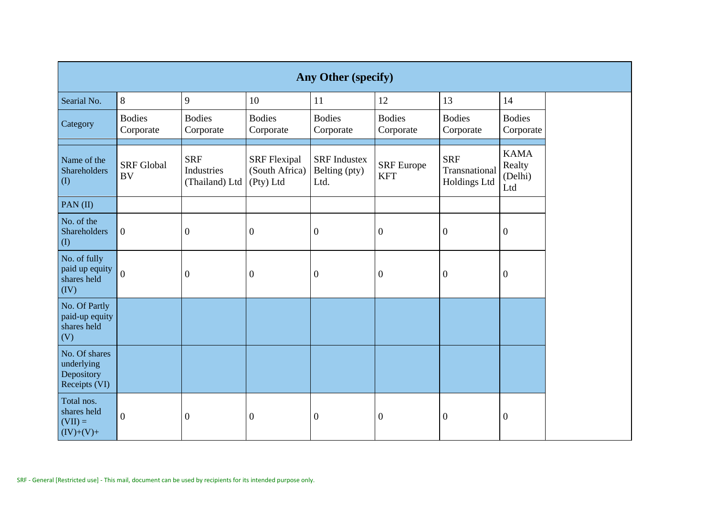|                                                            | Any Other (specify)            |                                            |                                                    |                                              |                            |                                             |                                         |  |  |
|------------------------------------------------------------|--------------------------------|--------------------------------------------|----------------------------------------------------|----------------------------------------------|----------------------------|---------------------------------------------|-----------------------------------------|--|--|
| Searial No.                                                | 8                              | 9                                          | 10                                                 | 11                                           | 12                         | 13                                          | 14                                      |  |  |
| Category                                                   | <b>Bodies</b><br>Corporate     | <b>Bodies</b><br>Corporate                 | <b>Bodies</b><br>Corporate                         | <b>Bodies</b><br>Corporate                   | <b>Bodies</b><br>Corporate | <b>Bodies</b><br>Corporate                  | <b>Bodies</b><br>Corporate              |  |  |
| Name of the<br><b>Shareholders</b><br>(1)                  | <b>SRF</b> Global<br><b>BV</b> | <b>SRF</b><br>Industries<br>(Thailand) Ltd | <b>SRF</b> Flexipal<br>(South Africa)<br>(Pty) Ltd | <b>SRF</b> Industex<br>Belting (pty)<br>Ltd. | SRF Europe<br><b>KFT</b>   | <b>SRF</b><br>Transnational<br>Holdings Ltd | <b>KAMA</b><br>Realty<br>(Delhi)<br>Ltd |  |  |
| PAN(II)                                                    |                                |                                            |                                                    |                                              |                            |                                             |                                         |  |  |
| No. of the<br>Shareholders<br>$($ $($ $)$                  | $\overline{0}$                 | $\boldsymbol{0}$                           | $\boldsymbol{0}$                                   | $\overline{0}$                               | $\boldsymbol{0}$           | $\boldsymbol{0}$                            | $\boldsymbol{0}$                        |  |  |
| No. of fully<br>paid up equity<br>shares held<br>(IV)      | $\overline{0}$                 | $\boldsymbol{0}$                           | $\boldsymbol{0}$                                   | $\mathbf{0}$                                 | $\boldsymbol{0}$           | $\boldsymbol{0}$                            | $\boldsymbol{0}$                        |  |  |
| No. Of Partly<br>paid-up equity<br>shares held<br>(V)      |                                |                                            |                                                    |                                              |                            |                                             |                                         |  |  |
| No. Of shares<br>underlying<br>Depository<br>Receipts (VI) |                                |                                            |                                                    |                                              |                            |                                             |                                         |  |  |
| Total nos.<br>shares held<br>$(VII) =$<br>$(IV)+(V)+$      | $\boldsymbol{0}$               | $\boldsymbol{0}$                           | $\boldsymbol{0}$                                   | $\overline{0}$                               | $\boldsymbol{0}$           | $\boldsymbol{0}$                            | $\boldsymbol{0}$                        |  |  |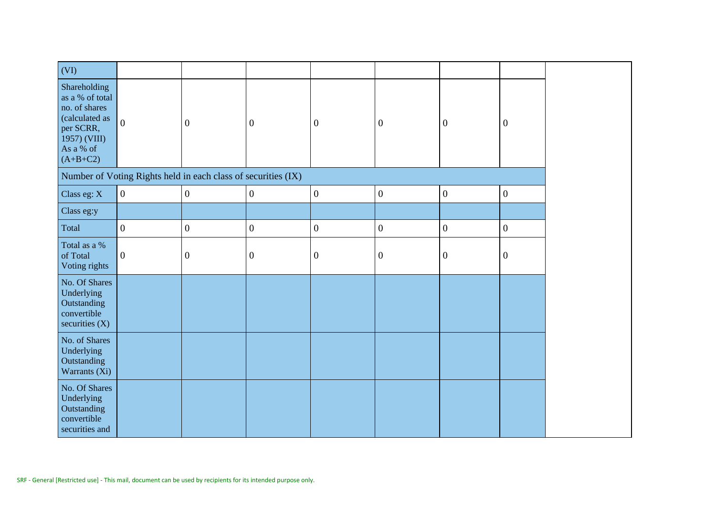| (VI)                                                                                                                       |                |                                                               |                  |                  |                  |                  |                  |
|----------------------------------------------------------------------------------------------------------------------------|----------------|---------------------------------------------------------------|------------------|------------------|------------------|------------------|------------------|
| Shareholding<br>as a % of total<br>no. of shares<br>(calculated as<br>per SCRR,<br>1957) (VIII)<br>As a % of<br>$(A+B+C2)$ | $\overline{0}$ | $\theta$                                                      | $\mathbf{0}$     | $\boldsymbol{0}$ | $\boldsymbol{0}$ | $\boldsymbol{0}$ | $\boldsymbol{0}$ |
|                                                                                                                            |                | Number of Voting Rights held in each class of securities (IX) |                  |                  |                  |                  |                  |
| Class eg: X                                                                                                                | $\mathbf{0}$   | $\boldsymbol{0}$                                              | $\boldsymbol{0}$ | $\boldsymbol{0}$ | $\boldsymbol{0}$ | $\boldsymbol{0}$ | $\boldsymbol{0}$ |
| Class eg:y                                                                                                                 |                |                                                               |                  |                  |                  |                  |                  |
| Total                                                                                                                      | $\overline{0}$ | $\boldsymbol{0}$                                              | $\boldsymbol{0}$ | $\boldsymbol{0}$ | $\boldsymbol{0}$ | $\boldsymbol{0}$ | $\mathbf{0}$     |
| Total as a %<br>of Total<br>Voting rights                                                                                  | $\mathbf{0}$   | $\boldsymbol{0}$                                              | $\boldsymbol{0}$ | $\boldsymbol{0}$ | $\boldsymbol{0}$ | $\boldsymbol{0}$ | $\boldsymbol{0}$ |
| No. Of Shares<br>Underlying<br>Outstanding<br>convertible<br>securities (X)                                                |                |                                                               |                  |                  |                  |                  |                  |
| No. of Shares<br>Underlying<br>Outstanding<br>Warrants (Xi)                                                                |                |                                                               |                  |                  |                  |                  |                  |
| No. Of Shares<br>Underlying<br>Outstanding<br>convertible<br>securities and                                                |                |                                                               |                  |                  |                  |                  |                  |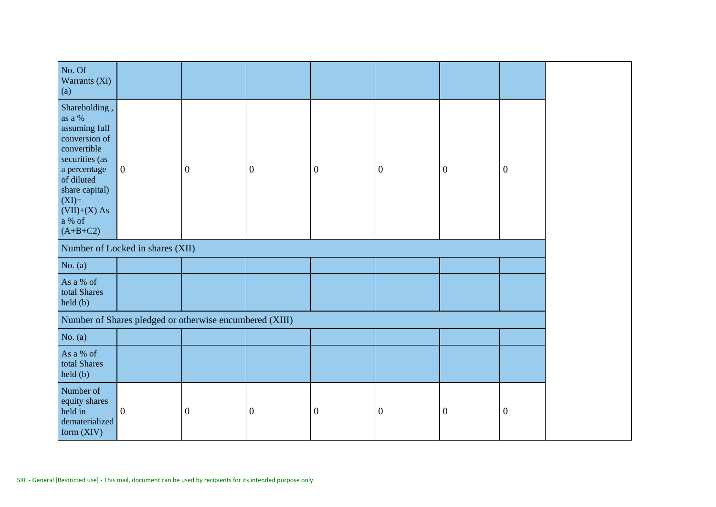| No. Of<br>Warrants (Xi)<br>(a)                                                                                                                                                                  |                                  |                                                         |                  |                  |                  |                  |                  |
|-------------------------------------------------------------------------------------------------------------------------------------------------------------------------------------------------|----------------------------------|---------------------------------------------------------|------------------|------------------|------------------|------------------|------------------|
| Shareholding,<br>as a %<br>assuming full<br>conversion of<br>convertible<br>securities (as<br>a percentage<br>of diluted<br>share capital)<br>$(XI)=$<br>$(VII)+(X) As$<br>a % of<br>$(A+B+C2)$ | $\overline{0}$                   | $\mathbf{0}$                                            | $\overline{0}$   | $\overline{0}$   | $\boldsymbol{0}$ | $\overline{0}$   | $\theta$         |
|                                                                                                                                                                                                 | Number of Locked in shares (XII) |                                                         |                  |                  |                  |                  |                  |
| No. $(a)$                                                                                                                                                                                       |                                  |                                                         |                  |                  |                  |                  |                  |
| As a % of<br>total Shares<br>$\text{held}(\text{b})$                                                                                                                                            |                                  |                                                         |                  |                  |                  |                  |                  |
|                                                                                                                                                                                                 |                                  | Number of Shares pledged or otherwise encumbered (XIII) |                  |                  |                  |                  |                  |
| No. $(a)$                                                                                                                                                                                       |                                  |                                                         |                  |                  |                  |                  |                  |
| As a % of<br>total Shares<br>held (b)                                                                                                                                                           |                                  |                                                         |                  |                  |                  |                  |                  |
| Number of<br>equity shares<br>held in<br>dematerialized<br>form (XIV)                                                                                                                           | $\mathbf{0}$                     | $\boldsymbol{0}$                                        | $\boldsymbol{0}$ | $\boldsymbol{0}$ | $\boldsymbol{0}$ | $\boldsymbol{0}$ | $\boldsymbol{0}$ |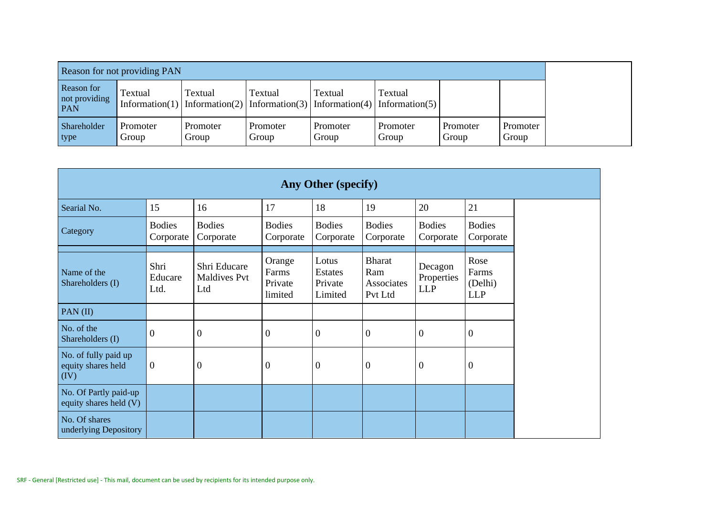| Reason for not providing PAN              |                           |                           |                   |                   |                                                                     |                   |                   |
|-------------------------------------------|---------------------------|---------------------------|-------------------|-------------------|---------------------------------------------------------------------|-------------------|-------------------|
| Reason for<br>not providing<br><b>PAN</b> | Textual<br>Information(1) | Textual<br>Information(2) | <b>Textual</b>    | Textual           | Textual<br>$\vert$ Information(3)   Information(4)   Information(5) |                   |                   |
| Shareholder<br>type                       | Promoter<br>Group         | Promoter<br>Group         | Promoter<br>Group | Promoter<br>Group | Promoter<br>Group                                                   | Promoter<br>Group | Promoter<br>Group |

| Any Other (specify)                                |                            |                                            |                                       |                                               |                                               |                                     |                                        |  |
|----------------------------------------------------|----------------------------|--------------------------------------------|---------------------------------------|-----------------------------------------------|-----------------------------------------------|-------------------------------------|----------------------------------------|--|
| Searial No.                                        | 15                         | 16                                         | 17                                    | 18                                            | 19                                            | 20                                  | 21                                     |  |
| Category                                           | <b>Bodies</b><br>Corporate | <b>Bodies</b><br>Corporate                 | <b>Bodies</b><br>Corporate            | <b>Bodies</b><br>Corporate                    | <b>Bodies</b><br>Corporate                    | <b>Bodies</b><br>Corporate          | <b>Bodies</b><br>Corporate             |  |
| Name of the<br>Shareholders (I)                    | Shri<br>Educare<br>Ltd.    | Shri Educare<br><b>Maldives Pvt</b><br>Ltd | Orange<br>Farms<br>Private<br>limited | Lotus<br><b>Estates</b><br>Private<br>Limited | <b>Bharat</b><br>Ram<br>Associates<br>Pvt Ltd | Decagon<br>Properties<br><b>LLP</b> | Rose<br>Farms<br>(Delhi)<br><b>LLP</b> |  |
| PAN $(II)$                                         |                            |                                            |                                       |                                               |                                               |                                     |                                        |  |
| No. of the<br>Shareholders (I)                     | $\boldsymbol{0}$           | $\mathbf{0}$                               | $\boldsymbol{0}$                      | $\mathbf{0}$                                  | $\boldsymbol{0}$                              | $\overline{0}$                      | $\theta$                               |  |
| No. of fully paid up<br>equity shares held<br>(IV) | $\mathbf{0}$               | $\overline{0}$                             | $\boldsymbol{0}$                      | $\boldsymbol{0}$                              | $\overline{0}$                                | $\boldsymbol{0}$                    | $\boldsymbol{0}$                       |  |
| No. Of Partly paid-up<br>equity shares held (V)    |                            |                                            |                                       |                                               |                                               |                                     |                                        |  |
| No. Of shares<br>underlying Depository             |                            |                                            |                                       |                                               |                                               |                                     |                                        |  |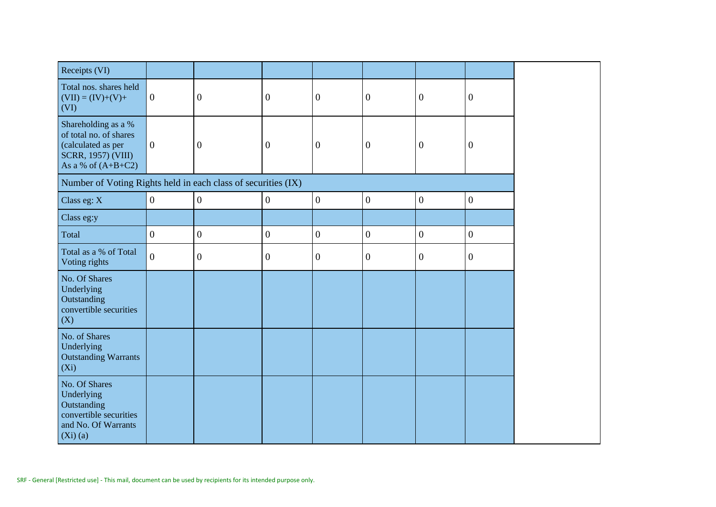| Receipts (VI)                                                                                                            |                  |                  |                  |                  |                  |                  |                  |
|--------------------------------------------------------------------------------------------------------------------------|------------------|------------------|------------------|------------------|------------------|------------------|------------------|
| Total nos. shares held<br>$(VII) = (IV)+(V)+$<br>(VI)                                                                    | $\boldsymbol{0}$ | $\overline{0}$   | $\boldsymbol{0}$ | $\boldsymbol{0}$ | $\mathbf{0}$     | $\mathbf{0}$     | $\boldsymbol{0}$ |
| Shareholding as a %<br>of total no. of shares<br>(calculated as per<br><b>SCRR, 1957) (VIII)</b><br>As a % of $(A+B+C2)$ | $\boldsymbol{0}$ | $\boldsymbol{0}$ | $\boldsymbol{0}$ | $\overline{0}$   | $\boldsymbol{0}$ | $\overline{0}$   | $\boldsymbol{0}$ |
| Number of Voting Rights held in each class of securities (IX)                                                            |                  |                  |                  |                  |                  |                  |                  |
| Class eg: X                                                                                                              | $\boldsymbol{0}$ | $\boldsymbol{0}$ | $\boldsymbol{0}$ | $\boldsymbol{0}$ | $\boldsymbol{0}$ | $\boldsymbol{0}$ | $\boldsymbol{0}$ |
| Class eg:y                                                                                                               |                  |                  |                  |                  |                  |                  |                  |
| Total                                                                                                                    | $\overline{0}$   | $\boldsymbol{0}$ | $\overline{0}$   | $\boldsymbol{0}$ | $\boldsymbol{0}$ | $\overline{0}$   | $\overline{0}$   |
| Total as a % of Total<br>Voting rights                                                                                   | $\overline{0}$   | $\boldsymbol{0}$ | $\boldsymbol{0}$ | $\boldsymbol{0}$ | $\boldsymbol{0}$ | $\boldsymbol{0}$ | $\boldsymbol{0}$ |
| No. Of Shares<br>Underlying<br>Outstanding<br>convertible securities<br>(X)                                              |                  |                  |                  |                  |                  |                  |                  |
| No. of Shares<br>Underlying<br><b>Outstanding Warrants</b><br>$(X_i)$                                                    |                  |                  |                  |                  |                  |                  |                  |
| No. Of Shares<br>Underlying<br>Outstanding<br>convertible securities<br>and No. Of Warrants<br>$(Xi)$ (a)                |                  |                  |                  |                  |                  |                  |                  |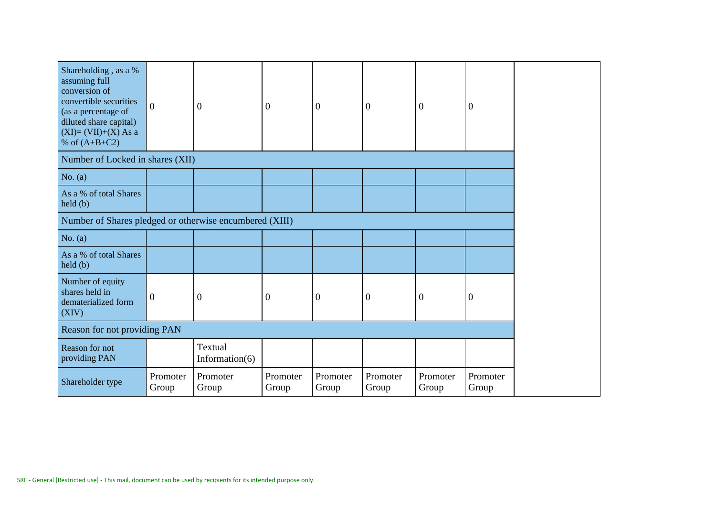| Shareholding, as a %<br>assuming full<br>conversion of<br>convertible securities<br>(as a percentage of<br>diluted share capital)<br>$(XI)=(VII)+(X) As a$<br>% of $(A+B+C2)$ | $\boldsymbol{0}$  | $\theta$                         | $\theta$          | $\overline{0}$    | $\overline{0}$    | $\overline{0}$    | $\overline{0}$    |
|-------------------------------------------------------------------------------------------------------------------------------------------------------------------------------|-------------------|----------------------------------|-------------------|-------------------|-------------------|-------------------|-------------------|
| Number of Locked in shares (XII)                                                                                                                                              |                   |                                  |                   |                   |                   |                   |                   |
| No. $(a)$                                                                                                                                                                     |                   |                                  |                   |                   |                   |                   |                   |
| As a % of total Shares<br>held(b)                                                                                                                                             |                   |                                  |                   |                   |                   |                   |                   |
| Number of Shares pledged or otherwise encumbered (XIII)                                                                                                                       |                   |                                  |                   |                   |                   |                   |                   |
| No. $(a)$                                                                                                                                                                     |                   |                                  |                   |                   |                   |                   |                   |
| As a % of total Shares<br>$\text{held}(\text{b})$                                                                                                                             |                   |                                  |                   |                   |                   |                   |                   |
| Number of equity<br>shares held in<br>dematerialized form<br>(XIV)                                                                                                            | $\boldsymbol{0}$  | $\boldsymbol{0}$                 | $\boldsymbol{0}$  | $\boldsymbol{0}$  | $\mathbf{0}$      | $\boldsymbol{0}$  | $\boldsymbol{0}$  |
| Reason for not providing PAN                                                                                                                                                  |                   |                                  |                   |                   |                   |                   |                   |
| Reason for not<br>providing PAN                                                                                                                                               |                   | <b>Textual</b><br>Information(6) |                   |                   |                   |                   |                   |
| Shareholder type                                                                                                                                                              | Promoter<br>Group | Promoter<br>Group                | Promoter<br>Group | Promoter<br>Group | Promoter<br>Group | Promoter<br>Group | Promoter<br>Group |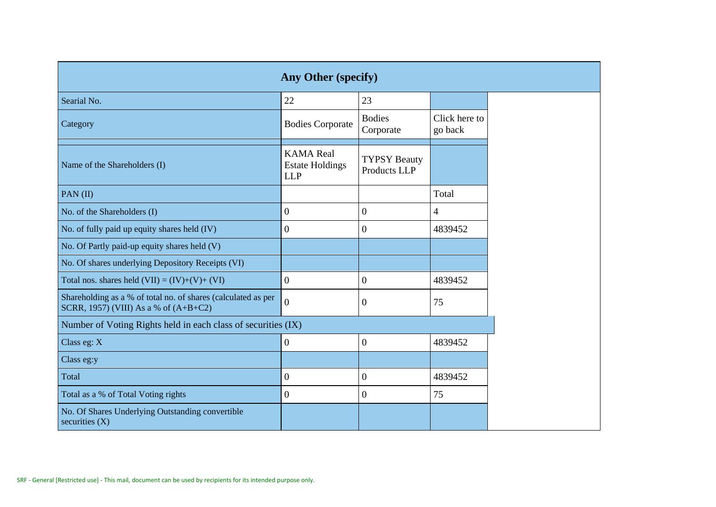| <b>Any Other (specify)</b>                                                                             |                                                          |                                     |                          |  |  |  |  |  |
|--------------------------------------------------------------------------------------------------------|----------------------------------------------------------|-------------------------------------|--------------------------|--|--|--|--|--|
| Searial No.                                                                                            | 22                                                       | 23                                  |                          |  |  |  |  |  |
| Category                                                                                               | <b>Bodies Corporate</b>                                  | <b>Bodies</b><br>Corporate          | Click here to<br>go back |  |  |  |  |  |
| Name of the Shareholders (I)                                                                           | <b>KAMA</b> Real<br><b>Estate Holdings</b><br><b>LLP</b> | <b>TYPSY Beauty</b><br>Products LLP |                          |  |  |  |  |  |
| PAN(II)                                                                                                |                                                          |                                     | Total                    |  |  |  |  |  |
| No. of the Shareholders (I)                                                                            | $\mathbf{0}$                                             | $\overline{0}$                      | $\overline{4}$           |  |  |  |  |  |
| No. of fully paid up equity shares held (IV)                                                           | $\mathbf{0}$                                             | $\mathbf{0}$                        | 4839452                  |  |  |  |  |  |
| No. Of Partly paid-up equity shares held (V)                                                           |                                                          |                                     |                          |  |  |  |  |  |
| No. Of shares underlying Depository Receipts (VI)                                                      |                                                          |                                     |                          |  |  |  |  |  |
| Total nos. shares held $(VII) = (IV)+(V)+(VI)$                                                         | $\overline{0}$                                           | $\boldsymbol{0}$                    | 4839452                  |  |  |  |  |  |
| Shareholding as a % of total no. of shares (calculated as per<br>SCRR, 1957) (VIII) As a % of (A+B+C2) | $\overline{0}$                                           | $\mathbf{0}$                        | 75                       |  |  |  |  |  |
| Number of Voting Rights held in each class of securities (IX)                                          |                                                          |                                     |                          |  |  |  |  |  |
| Class eg: $X$                                                                                          | $\boldsymbol{0}$                                         | $\mathbf{0}$                        | 4839452                  |  |  |  |  |  |
| Class eg:y                                                                                             |                                                          |                                     |                          |  |  |  |  |  |
| Total                                                                                                  | $\boldsymbol{0}$                                         | $\boldsymbol{0}$                    | 4839452                  |  |  |  |  |  |
| Total as a % of Total Voting rights                                                                    | $\mathbf{0}$                                             | $\mathbf{0}$                        | 75                       |  |  |  |  |  |
| No. Of Shares Underlying Outstanding convertible<br>securities $(X)$                                   |                                                          |                                     |                          |  |  |  |  |  |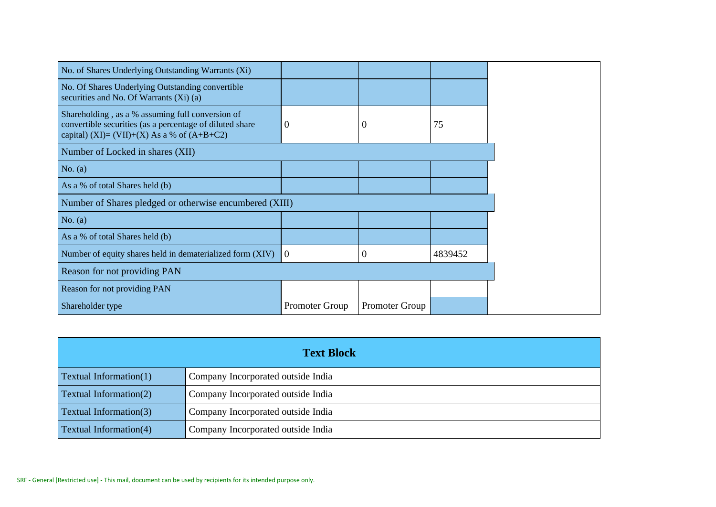| No. of Shares Underlying Outstanding Warrants (Xi)                                                                                                          |                |                |         |
|-------------------------------------------------------------------------------------------------------------------------------------------------------------|----------------|----------------|---------|
| No. Of Shares Underlying Outstanding convertible<br>securities and No. Of Warrants (Xi) (a)                                                                 |                |                |         |
| Shareholding, as a % assuming full conversion of<br>convertible securities (as a percentage of diluted share<br>capital) (XI)= (VII)+(X) As a % of (A+B+C2) | $\theta$       | 0              | 75      |
| Number of Locked in shares (XII)                                                                                                                            |                |                |         |
| No. (a)                                                                                                                                                     |                |                |         |
| As a % of total Shares held (b)                                                                                                                             |                |                |         |
| Number of Shares pledged or otherwise encumbered (XIII)                                                                                                     |                |                |         |
| No. (a)                                                                                                                                                     |                |                |         |
| As a % of total Shares held (b)                                                                                                                             |                |                |         |
| Number of equity shares held in dematerialized form (XIV)                                                                                                   | $\Omega$       | $\overline{0}$ | 4839452 |
| Reason for not providing PAN                                                                                                                                |                |                |         |
| Reason for not providing PAN                                                                                                                                |                |                |         |
| Shareholder type                                                                                                                                            | Promoter Group | Promoter Group |         |

|                               | <b>Text Block</b>                  |
|-------------------------------|------------------------------------|
| Textual Information(1)        | Company Incorporated outside India |
| <b>Textual Information(2)</b> | Company Incorporated outside India |
| <b>Textual Information(3)</b> | Company Incorporated outside India |
| Textual Information(4)        | Company Incorporated outside India |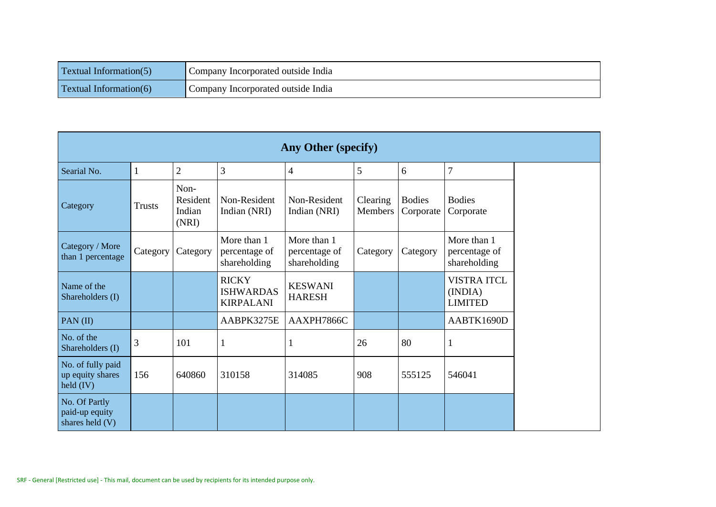| <b>Textual Information(5)</b> | Company Incorporated outside India |
|-------------------------------|------------------------------------|
| <b>Textual Information(6)</b> | Company Incorporated outside India |

| Any Other (specify)                                         |               |                                     |                                                      |                                              |                     |                            |                                                 |  |
|-------------------------------------------------------------|---------------|-------------------------------------|------------------------------------------------------|----------------------------------------------|---------------------|----------------------------|-------------------------------------------------|--|
| Searial No.                                                 |               | $\overline{2}$                      | 3                                                    | $\overline{4}$                               | 5                   | 6                          | 7                                               |  |
| Category                                                    | <b>Trusts</b> | Non-<br>Resident<br>Indian<br>(NRI) | Non-Resident<br>Indian (NRI)                         | Non-Resident<br>Indian (NRI)                 | Clearing<br>Members | <b>Bodies</b><br>Corporate | <b>Bodies</b><br>Corporate                      |  |
| Category / More<br>than 1 percentage                        | Category      | Category                            | More than 1<br>percentage of<br>shareholding         | More than 1<br>percentage of<br>shareholding | Category            | Category                   | More than 1<br>percentage of<br>shareholding    |  |
| Name of the<br>Shareholders (I)                             |               |                                     | <b>RICKY</b><br><b>ISHWARDAS</b><br><b>KIRPALANI</b> | <b>KESWANI</b><br><b>HARESH</b>              |                     |                            | <b>VISTRA ITCL</b><br>(INDIA)<br><b>LIMITED</b> |  |
| PAN (II)                                                    |               |                                     | AABPK3275E                                           | AAXPH7866C                                   |                     |                            | AABTK1690D                                      |  |
| No. of the<br>Shareholders (I)                              | 3             | 101                                 |                                                      | 1                                            | 26                  | 80                         | 1                                               |  |
| No. of fully paid<br>up equity shares<br>$\text{held (IV)}$ | 156           | 640860                              | 310158                                               | 314085                                       | 908                 | 555125                     | 546041                                          |  |
| No. Of Partly<br>paid-up equity<br>shares held (V)          |               |                                     |                                                      |                                              |                     |                            |                                                 |  |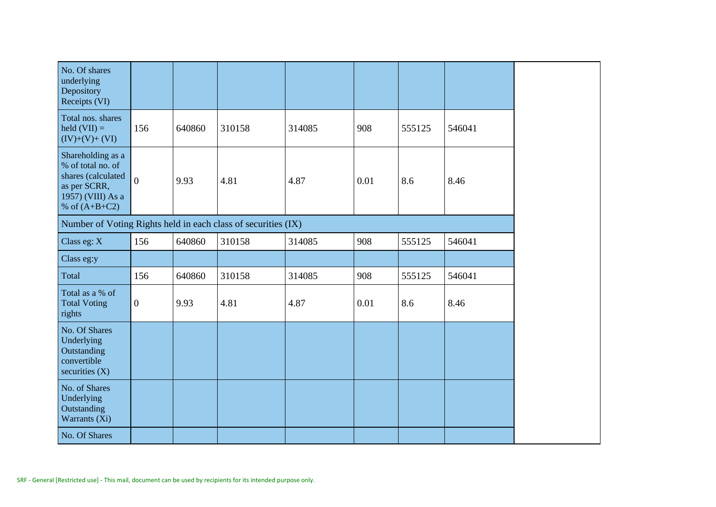| No. Of shares<br>underlying<br>Depository<br>Receipts (VI)                                                           |                  |        |        |        |      |        |        |
|----------------------------------------------------------------------------------------------------------------------|------------------|--------|--------|--------|------|--------|--------|
| Total nos. shares<br>held $(VII) =$<br>$(IV)+(V)+(VI)$                                                               | 156              | 640860 | 310158 | 314085 | 908  | 555125 | 546041 |
| Shareholding as a<br>% of total no. of<br>shares (calculated<br>as per SCRR,<br>1957) (VIII) As a<br>% of $(A+B+C2)$ | $\overline{0}$   | 9.93   | 4.81   | 4.87   | 0.01 | 8.6    | 8.46   |
| Number of Voting Rights held in each class of securities (IX)                                                        |                  |        |        |        |      |        |        |
| Class eg: X                                                                                                          | 156              | 640860 | 310158 | 314085 | 908  | 555125 | 546041 |
| Class eg:y                                                                                                           |                  |        |        |        |      |        |        |
| Total                                                                                                                | 156              | 640860 | 310158 | 314085 | 908  | 555125 | 546041 |
| Total as a % of<br><b>Total Voting</b><br>rights                                                                     | $\boldsymbol{0}$ | 9.93   | 4.81   | 4.87   | 0.01 | 8.6    | 8.46   |
| No. Of Shares<br>Underlying<br>Outstanding<br>convertible<br>securities $(X)$                                        |                  |        |        |        |      |        |        |
| No. of Shares<br>Underlying<br>Outstanding<br>Warrants (Xi)                                                          |                  |        |        |        |      |        |        |
| No. Of Shares                                                                                                        |                  |        |        |        |      |        |        |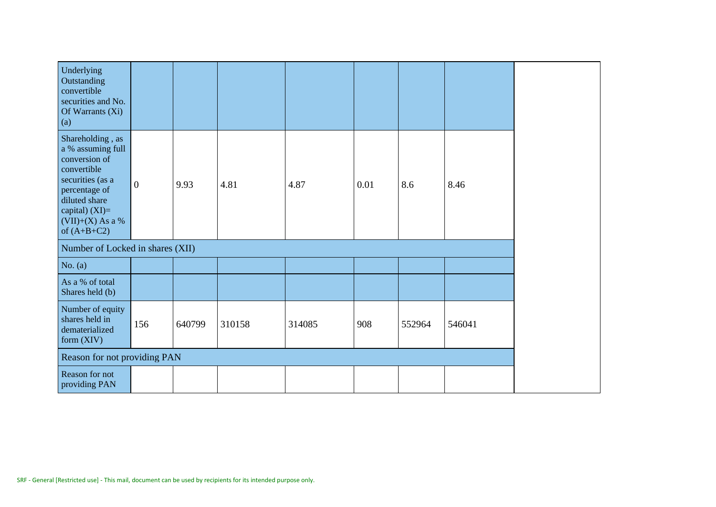| Underlying<br>Outstanding<br>convertible<br>securities and No.<br>Of Warrants (Xi)<br>(a)                                                                                              |                |        |        |        |      |        |        |
|----------------------------------------------------------------------------------------------------------------------------------------------------------------------------------------|----------------|--------|--------|--------|------|--------|--------|
| Shareholding, as<br>a % assuming full<br>conversion of<br>convertible<br>securities (as a<br>percentage of<br>diluted share<br>capital) $(XI)=$<br>$(VII)+(X)$ As a %<br>of $(A+B+C2)$ | $\overline{0}$ | 9.93   | 4.81   | 4.87   | 0.01 | 8.6    | 8.46   |
| Number of Locked in shares (XII)                                                                                                                                                       |                |        |        |        |      |        |        |
| No. $(a)$                                                                                                                                                                              |                |        |        |        |      |        |        |
| As a % of total<br>Shares held (b)                                                                                                                                                     |                |        |        |        |      |        |        |
| Number of equity<br>shares held in<br>dematerialized<br>form $(XIV)$                                                                                                                   | 156            | 640799 | 310158 | 314085 | 908  | 552964 | 546041 |
| Reason for not providing PAN                                                                                                                                                           |                |        |        |        |      |        |        |
| Reason for not<br>providing PAN                                                                                                                                                        |                |        |        |        |      |        |        |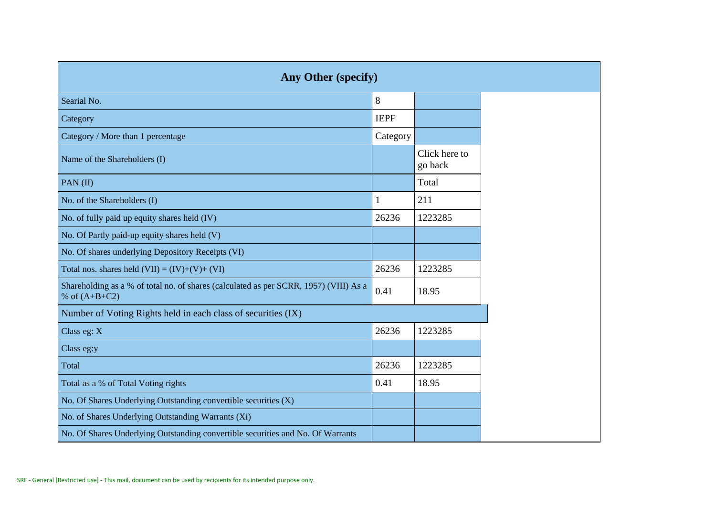| <b>Any Other (specify)</b>                                                                               |             |                          |  |  |  |  |  |  |  |  |  |  |
|----------------------------------------------------------------------------------------------------------|-------------|--------------------------|--|--|--|--|--|--|--|--|--|--|
| Searial No.                                                                                              | 8           |                          |  |  |  |  |  |  |  |  |  |  |
| Category                                                                                                 | <b>IEPF</b> |                          |  |  |  |  |  |  |  |  |  |  |
| Category / More than 1 percentage                                                                        | Category    |                          |  |  |  |  |  |  |  |  |  |  |
| Name of the Shareholders (I)                                                                             |             | Click here to<br>go back |  |  |  |  |  |  |  |  |  |  |
| PAN(II)                                                                                                  |             | Total                    |  |  |  |  |  |  |  |  |  |  |
| No. of the Shareholders (I)                                                                              |             | 211                      |  |  |  |  |  |  |  |  |  |  |
| No. of fully paid up equity shares held (IV)                                                             | 26236       | 1223285                  |  |  |  |  |  |  |  |  |  |  |
| No. Of Partly paid-up equity shares held (V)                                                             |             |                          |  |  |  |  |  |  |  |  |  |  |
| No. Of shares underlying Depository Receipts (VI)                                                        |             |                          |  |  |  |  |  |  |  |  |  |  |
| Total nos. shares held $(VII) = (IV)+(V)+(VI)$                                                           | 26236       | 1223285                  |  |  |  |  |  |  |  |  |  |  |
| Shareholding as a % of total no. of shares (calculated as per SCRR, 1957) (VIII) As a<br>% of $(A+B+C2)$ | 0.41        | 18.95                    |  |  |  |  |  |  |  |  |  |  |
| Number of Voting Rights held in each class of securities (IX)                                            |             |                          |  |  |  |  |  |  |  |  |  |  |
| Class eg: X                                                                                              | 26236       | 1223285                  |  |  |  |  |  |  |  |  |  |  |
| Class eg:y                                                                                               |             |                          |  |  |  |  |  |  |  |  |  |  |
| Total                                                                                                    | 26236       | 1223285                  |  |  |  |  |  |  |  |  |  |  |
| Total as a % of Total Voting rights                                                                      | 0.41        | 18.95                    |  |  |  |  |  |  |  |  |  |  |
| No. Of Shares Underlying Outstanding convertible securities (X)                                          |             |                          |  |  |  |  |  |  |  |  |  |  |
| No. of Shares Underlying Outstanding Warrants (Xi)                                                       |             |                          |  |  |  |  |  |  |  |  |  |  |
| No. Of Shares Underlying Outstanding convertible securities and No. Of Warrants                          |             |                          |  |  |  |  |  |  |  |  |  |  |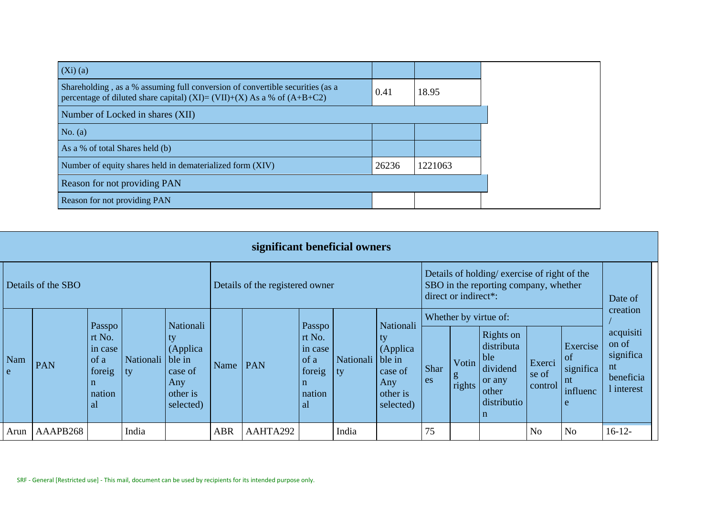| $(Xi)$ (a)                                                                                                                                               |       |         |
|----------------------------------------------------------------------------------------------------------------------------------------------------------|-------|---------|
| Shareholding, as a % assuming full conversion of convertible securities (as a<br>percentage of diluted share capital) (XI)= (VII)+(X) As a % of (A+B+C2) | 0.41  | 18.95   |
| Number of Locked in shares (XII)                                                                                                                         |       |         |
| No. $(a)$                                                                                                                                                |       |         |
| As a % of total Shares held (b)                                                                                                                          |       |         |
| Number of equity shares held in dematerialized form (XIV)                                                                                                | 26236 | 1221063 |
| Reason for not providing PAN                                                                                                                             |       |         |
| Reason for not providing PAN                                                                                                                             |       |         |

| significant beneficial owners |          |                                                                              |                        |                                                                        |                                 |          |                                                                                       |                        |                                                                                   |                                                                                                              |                      |                                                                                                            |                            |                                                    |                                                                              |
|-------------------------------|----------|------------------------------------------------------------------------------|------------------------|------------------------------------------------------------------------|---------------------------------|----------|---------------------------------------------------------------------------------------|------------------------|-----------------------------------------------------------------------------------|--------------------------------------------------------------------------------------------------------------|----------------------|------------------------------------------------------------------------------------------------------------|----------------------------|----------------------------------------------------|------------------------------------------------------------------------------|
| Details of the SBO            |          |                                                                              |                        |                                                                        | Details of the registered owner |          |                                                                                       |                        |                                                                                   | Details of holding/exercise of right of the<br>SBO in the reporting company, whether<br>direct or indirect*: |                      |                                                                                                            |                            |                                                    | Date of                                                                      |
| Nam<br>e                      | PAN      | Passpo<br>rt No.<br>in case<br>of a<br>foreig<br>$\mathbf n$<br>nation<br>al | Nationali ble in<br>ty | Nationali<br>ty<br>(Applica<br>case of<br>Any<br>other is<br>selected) | Name                            | PAN      | Passpo<br>rt No.<br>in case<br>$\int$ of a<br>foreig<br>$\mathbf n$<br>nation<br>  al | Nationali ble in<br>ty | Nationali<br>$\mathbf{t}$<br>(Applica)<br>case of<br>Any<br>other is<br>selected) | Shar<br>es                                                                                                   | Votin<br>g<br>rights | Whether by virtue of:<br>Rights on<br>distributa<br>ble<br>dividend<br>or any<br>other<br>distributio<br>n | Exerci<br>se of<br>control | Exercise<br>of<br>significa<br>nt<br>influenc<br>e | creation<br>acquisiti<br>on of<br>significa<br>nt<br>beneficia<br>1 interest |
| Arun                          | AAAPB268 |                                                                              | India                  |                                                                        | <b>ABR</b>                      | AAHTA292 |                                                                                       | India                  |                                                                                   | 75                                                                                                           |                      |                                                                                                            | N <sub>o</sub>             | N <sub>o</sub>                                     | $16-12-$                                                                     |